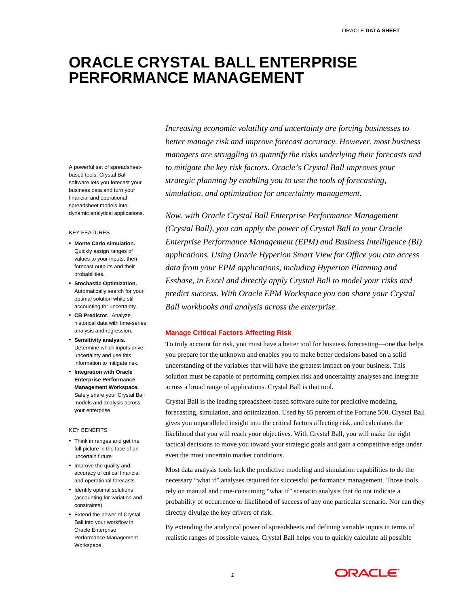# **ORACLE CRYSTAL BALL ENTERPRISE PERFORMANCE MANAGEMENT**

A powerful set of spreadsheetbased tools, Crystal Ball software lets you forecast your business data and turn your financial and operational spreadsheet models into dynamic analytical applications.

#### KEY FEATURES

- **Monte Carlo simulation.** Quickly assign ranges of values to your inputs, then forecast outputs and their probabilities.
- **Stochastic Optimization.** Automatically search for your optimal solution while still accounting for uncertainty.
- **CB Predictor.** Analyze historical data with time-series analysis and regression.
- **Sensitivity analysis.** Determine which inputs drive uncertainty and use this information to mitigate risk.
- **Integration with Oracle Enterprise Performance Management Workspace.**  Safely share your Crystal Ball models and analysis across your enterprise.

#### KEY BENEFITS

- Think in ranges and get the full picture in the face of an uncertain future
- Improve the quality and accuracy of critical financial and operational forecasts
- Identify optimal solutions (accounting for variation and constraints)
- Extend the power of Crystal Ball into your workflow in Oracle Enterprise Performance Management Workspace

*Increasing economic volatility and uncertainty are forcing businesses to better manage risk and improve forecast accuracy. However, most business managers are struggling to quantify the risks underlying their forecasts and to mitigate the key risk factors. Oracle's Crystal Ball improves your strategic planning by enabling you to use the tools of forecasting, simulation, and optimization for uncertainty management.* 

*Now, with Oracle Crystal Ball Enterprise Performance Management (Crystal Ball), you can apply the power of Crystal Ball to your Oracle Enterprise Performance Management (EPM) and Business Intelligence (BI) applications. Using Oracle Hyperion Smart View for Office you can access data from your EPM applications, including Hyperion Planning and Essbase, in Excel and directly apply Crystal Ball to model your risks and predict success. With Oracle EPM Workspace you can share your Crystal Ball workbooks and analysis across the enterprise.* 

# **Manage Critical Factors Affecting Risk**

To truly account for risk, you must have a better tool for business forecasting—one that helps you prepare for the unknown and enables you to make better decisions based on a solid understanding of the variables that will have the greatest impact on your business. This solution must be capable of performing complex risk and uncertainty analyses and integrate across a broad range of applications. Crystal Ball is that tool.

Crystal Ball is the leading spreadsheet-based software suite for predictive modeling, forecasting, simulation, and optimization. Used by 85 percent of the Fortune 500, Crystal Ball gives you unparalleled insight into the critical factors affecting risk, and calculates the likelihood that you will reach your objectives. With Crystal Ball, you will make the right tactical decisions to move you toward your strategic goals and gain a competitive edge under even the most uncertain market conditions.

Most data analysis tools lack the predictive modeling and simulation capabilities to do the necessary "what if" analyses required for successful performance management. Those tools rely on manual and time-consuming "what if" scenario analysis that do not indicate a probability of occurrence or likelihood of success of any one particular scenario. Nor can they directly divulge the key drivers of risk.

By extending the analytical power of spreadsheets and defining variable inputs in terms of realistic ranges of possible values, Crystal Ball helps you to quickly calculate all possible

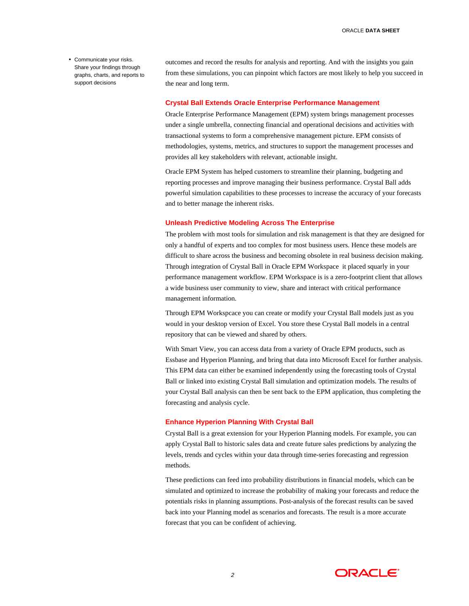• Communicate your risks. Share your findings through graphs, charts, and reports to support decisions

outcomes and record the results for analysis and reporting. And with the insights you gain from these simulations, you can pinpoint which factors are most likely to help you succeed in the near and long term.

#### **Crystal Ball Extends Oracle Enterprise Performance Management**

Oracle Enterprise Performance Management (EPM) system brings management processes under a single umbrella, connecting financial and operational decisions and activities with transactional systems to form a comprehensive management picture. EPM consists of methodologies, systems, metrics, and structures to support the management processes and provides all key stakeholders with relevant, actionable insight.

Oracle EPM System has helped customers to streamline their planning, budgeting and reporting processes and improve managing their business performance. Crystal Ball adds powerful simulation capabilities to these processes to increase the accuracy of your forecasts and to better manage the inherent risks.

# **Unleash Predictive Modeling Across The Enterprise**

The problem with most tools for simulation and risk management is that they are designed for only a handful of experts and too complex for most business users. Hence these models are difficult to share across the business and becoming obsolete in real business decision making. Through integration of Crystal Ball in Oracle EPM Workspace it placed squarly in your performance management workflow. EPM Workspace is is a zero-footprint client that allows a wide business user community to view, share and interact with critical performance management information.

Through EPM Workspcace you can create or modify your Crystal Ball models just as you would in your desktop version of Excel. You store these Crystal Ball models in a central repository that can be viewed and shared by others.

With Smart View, you can access data from a variety of Oracle EPM products, such as Essbase and Hyperion Planning, and bring that data into Microsoft Excel for further analysis. This EPM data can either be examined independently using the forecasting tools of Crystal Ball or linked into existing Crystal Ball simulation and optimization models. The results of your Crystal Ball analysis can then be sent back to the EPM application, thus completing the forecasting and analysis cycle.

#### **Enhance Hyperion Planning With Crystal Ball**

Crystal Ball is a great extension for your Hyperion Planning models. For example, you can apply Crystal Ball to historic sales data and create future sales predictions by analyzing the levels, trends and cycles within your data through time-series forecasting and regression methods.

These predictions can feed into probability distributions in financial models, which can be simulated and optimized to increase the probability of making your forecasts and reduce the potentials risks in planning assumptions. Post-analysis of the forecast results can be saved back into your Planning model as scenarios and forecasts. The result is a more accurate forecast that you can be confident of achieving.